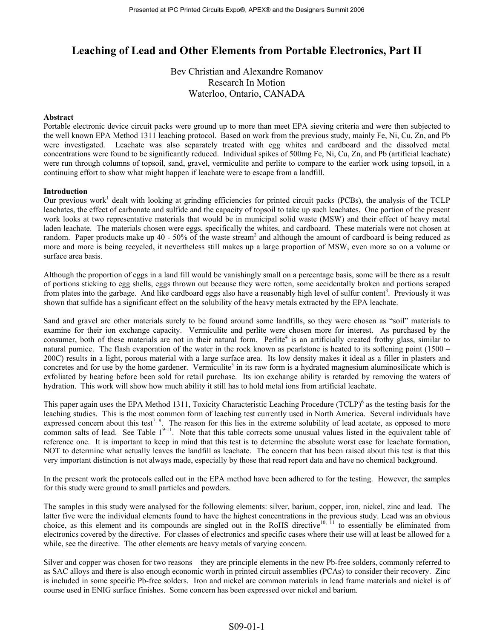# **Leaching of Lead and Other Elements from Portable Electronics, Part II**

Bev Christian and Alexandre Romanov Research In Motion Waterloo, Ontario, CANADA

### **Abstract**

Portable electronic device circuit packs were ground up to more than meet EPA sieving criteria and were then subjected to the well known EPA Method 1311 leaching protocol. Based on work from the previous study, mainly Fe, Ni, Cu, Zn, and Pb were investigated. Leachate was also separately treated with egg whites and cardboard and the dissolved metal concentrations were found to be significantly reduced. Individual spikes of 500mg Fe, Ni, Cu, Zn, and Pb (artificial leachate) were run through columns of topsoil, sand, gravel, vermiculite and perlite to compare to the earlier work using topsoil, in a continuing effort to show what might happen if leachate were to escape from a landfill.

#### **Introduction**

Our previous work<sup>1</sup> dealt with looking at grinding efficiencies for printed circuit packs (PCBs), the analysis of the TCLP leachates, the effect of carbonate and sulfide and the capacity of topsoil to take up such leachates. One portion of the present work looks at two representative materials that would be in municipal solid waste (MSW) and their effect of heavy metal laden leachate. The materials chosen were eggs, specifically the whites, and cardboard. These materials were not chosen at random. Paper products make up 40 - 50% of the waste stream<sup>2</sup> and although the amount of cardboard is being reduced as more and more is being recycled, it nevertheless still makes up a large proportion of MSW, even more so on a volume or surface area basis.

Although the proportion of eggs in a land fill would be vanishingly small on a percentage basis, some will be there as a result of portions sticking to egg shells, eggs thrown out because they were rotten, some accidentally broken and portions scraped from plates into the garbage. And like cardboard eggs also have a reasonably high level of sulfur content<sup>3</sup>. Previously it was shown that sulfide has a significant effect on the solubility of the heavy metals extracted by the EPA leachate.

Sand and gravel are other materials surely to be found around some landfills, so they were chosen as "soil" materials to examine for their ion exchange capacity. Vermiculite and perlite were chosen more for interest. As purchased by the consumer, both of these materials are not in their natural form. Perlite<sup>4</sup> is an artificially created frothy glass, similar to natural pumice. The flash evaporation of the water in the rock known as pearlstone is heated to its softening point (1500 – 200C) results in a light, porous material with a large surface area. Its low density makes it ideal as a filler in plasters and concretes and for use by the home gardener. Vermiculite<sup>5</sup> in its raw form is a hydrated magnesium aluminosilicate which is exfoliated by heating before been sold for retail purchase. Its ion exchange ability is retarded by removing the waters of hydration. This work will show how much ability it still has to hold metal ions from artificial leachate.

This paper again uses the EPA Method 1311, Toxicity Characteristic Leaching Procedure (TCLP)<sup>6</sup> as the testing basis for the leaching studies. This is the most common form of leaching test currently used in North America. Several individuals have expressed concern about this test<sup>7, 8</sup>. The reason for this lies in the extreme solubility of lead acetate, as opposed to more common salts of lead. See Table  $1^{9-11}$ . Note that this table corrects some unusual values listed in the equivalent table of reference one. It is important to keep in mind that this test is to determine the absolute worst case for leachate formation, NOT to determine what actually leaves the landfill as leachate. The concern that has been raised about this test is that this very important distinction is not always made, especially by those that read report data and have no chemical background.

In the present work the protocols called out in the EPA method have been adhered to for the testing. However, the samples for this study were ground to small particles and powders.

The samples in this study were analysed for the following elements: silver, barium, copper, iron, nickel, zinc and lead. The latter five were the individual elements found to have the highest concentrations in the previous study. Lead was an obvious choice, as this element and its compounds are singled out in the RoHS directive<sup>10, 11</sup> to essentially be eliminated from electronics covered by the directive. For classes of electronics and specific cases where their use will at least be allowed for a while, see the directive. The other elements are heavy metals of varying concern.

Silver and copper was chosen for two reasons – they are principle elements in the new Pb-free solders, commonly referred to as SAC alloys and there is also enough economic worth in printed circuit assemblies (PCAs) to consider their recovery. Zinc is included in some specific Pb-free solders. Iron and nickel are common materials in lead frame materials and nickel is of course used in ENIG surface finishes. Some concern has been expressed over nickel and barium.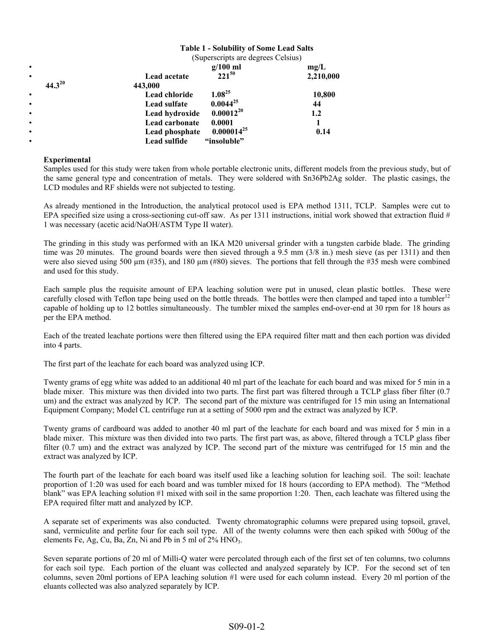|             |                | <b>Table 1 - Solubility of Some Lead Salts</b> |           |
|-------------|----------------|------------------------------------------------|-----------|
|             |                | (Superscripts are degrees Celsius)             |           |
| ٠           |                | $g/100$ ml                                     | mg/L      |
| $\bullet$   | Lead acetate   | $221^{50}$                                     | 2,210,000 |
| $44.3^{20}$ | 443,000        |                                                |           |
| ٠           | Lead chloride  | $1.08^{25}$                                    | 10,800    |
| ٠           | Lead sulfate   | $0.0044^{25}$                                  | 44        |
| $\bullet$   | Lead hydroxide | $0.00012^{20}$                                 | 1.2       |
| $\bullet$   | Lead carbonate | 0.0001                                         |           |
| $\bullet$   | Lead phosphate | $0.000014^{25}$                                | 0.14      |
| $\bullet$   | Lead sulfide   | "insoluble"                                    |           |

## **Experimental**

Samples used for this study were taken from whole portable electronic units, different models from the previous study, but of the same general type and concentration of metals. They were soldered with Sn36Pb2Ag solder. The plastic casings, the LCD modules and RF shields were not subjected to testing.

As already mentioned in the Introduction, the analytical protocol used is EPA method 1311, TCLP. Samples were cut to EPA specified size using a cross-sectioning cut-off saw. As per 1311 instructions, initial work showed that extraction fluid  $#$ 1 was necessary (acetic acid/NaOH/ASTM Type II water).

The grinding in this study was performed with an IKA M20 universal grinder with a tungsten carbide blade. The grinding time was 20 minutes. The ground boards were then sieved through a 9.5 mm (3/8 in.) mesh sieve (as per 1311) and then were also sieved using 500  $\mu$ m (#35), and 180  $\mu$ m (#80) sieves. The portions that fell through the #35 mesh were combined and used for this study.

Each sample plus the requisite amount of EPA leaching solution were put in unused, clean plastic bottles. These were carefully closed with Teflon tape being used on the bottle threads. The bottles were then clamped and taped into a tumbler<sup>12</sup> capable of holding up to 12 bottles simultaneously. The tumbler mixed the samples end-over-end at 30 rpm for 18 hours as per the EPA method.

Each of the treated leachate portions were then filtered using the EPA required filter matt and then each portion was divided into 4 parts.

The first part of the leachate for each board was analyzed using ICP.

Twenty grams of egg white was added to an additional 40 ml part of the leachate for each board and was mixed for 5 min in a blade mixer. This mixture was then divided into two parts. The first part was filtered through a TCLP glass fiber filter (0.7 um) and the extract was analyzed by ICP. The second part of the mixture was centrifuged for 15 min using an International Equipment Company; Model CL centrifuge run at a setting of 5000 rpm and the extract was analyzed by ICP.

Twenty grams of cardboard was added to another 40 ml part of the leachate for each board and was mixed for 5 min in a blade mixer. This mixture was then divided into two parts. The first part was, as above, filtered through a TCLP glass fiber filter (0.7 um) and the extract was analyzed by ICP. The second part of the mixture was centrifuged for 15 min and the extract was analyzed by ICP.

The fourth part of the leachate for each board was itself used like a leaching solution for leaching soil. The soil: leachate proportion of 1:20 was used for each board and was tumbler mixed for 18 hours (according to EPA method). The "Method blank" was EPA leaching solution #1 mixed with soil in the same proportion 1:20. Then, each leachate was filtered using the EPA required filter matt and analyzed by ICP.

A separate set of experiments was also conducted. Twenty chromatographic columns were prepared using topsoil, gravel, sand, vermiculite and perlite four for each soil type. All of the twenty columns were then each spiked with 500ug of the elements Fe, Ag, Cu, Ba, Zn, Ni and Pb in 5 ml of 2% HNO<sub>3</sub>.

Seven separate portions of 20 ml of Milli-Q water were percolated through each of the first set of ten columns, two columns for each soil type. Each portion of the eluant was collected and analyzed separately by ICP. For the second set of ten columns, seven 20ml portions of EPA leaching solution #1 were used for each column instead. Every 20 ml portion of the eluants collected was also analyzed separately by ICP.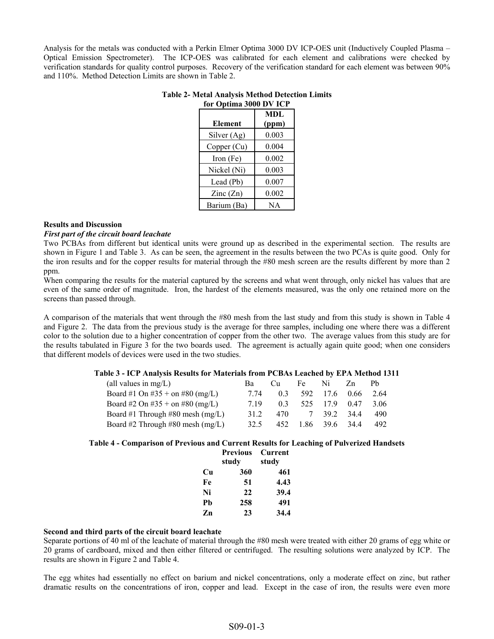Analysis for the metals was conducted with a Perkin Elmer Optima 3000 DV ICP-OES unit (Inductively Coupled Plasma – Optical Emission Spectrometer). The ICP-OES was calibrated for each element and calibrations were checked by verification standards for quality control purposes. Recovery of the verification standard for each element was between 90% and 110%. Method Detection Limits are shown in Table 2.

| IUI UPUMA JUVU D V IUI   |            |
|--------------------------|------------|
|                          | <b>MDL</b> |
| <b>Element</b>           | (ppm)      |
| Silver (Ag)              | 0.003      |
| Copper (Cu)              | 0.004      |
| Iron $(Fe)$              | 0.002      |
| Nickel (Ni)              | 0.003      |
| Lead (Pb)                | 0.007      |
| $\text{Zinc}(\text{Zn})$ | 0.002      |
| Barium (Ba)              | NА         |

#### **Table 2- Metal Analysis Method Detection Limits for Optima 3000 DV ICP**

#### **Results and Discussion**

#### *First part of the circuit board leachate*

Two PCBAs from different but identical units were ground up as described in the experimental section. The results are shown in Figure 1 and Table 3. As can be seen, the agreement in the results between the two PCAs is quite good. Only for the iron results and for the copper results for material through the #80 mesh screen are the results different by more than 2 ppm.

When comparing the results for the material captured by the screens and what went through, only nickel has values that are even of the same order of magnitude. Iron, the hardest of the elements measured, was the only one retained more on the screens than passed through.

A comparison of the materials that went through the #80 mesh from the last study and from this study is shown in Table 4 and Figure 2. The data from the previous study is the average for three samples, including one where there was a different color to the solution due to a higher concentration of copper from the other two. The average values from this study are for the results tabulated in Figure 3 for the two boards used. The agreement is actually again quite good; when one considers that different models of devices were used in the two studies.

## **Table 3 - ICP Analysis Results for Materials from PCBAs Leached by EPA Method 1311**

| (all values in $mg/L$ )            | Ва   | Cu  | Fe    | Ni   | Zn   | Ph.  |
|------------------------------------|------|-----|-------|------|------|------|
| Board #1 On #35 + on #80 (mg/L)    | 7 74 | 0.3 | 592   | 17.6 | 0.66 | 2.64 |
| Board #2 On #35 + on #80 (mg/L)    | 719  | 03  | 525.  | 179  | 0.47 | 3.06 |
| Board #1 Through #80 mesh $(mg/L)$ | 312  | 470 | 7     | 39.2 | 344  | 490  |
| Board #2 Through #80 mesh $(mg/L)$ | 32.5 | 452 | 1.86- | 39.6 | 344  | 492  |

## **Table 4 - Comparison of Previous and Current Results for Leaching of Pulverized Handsets**

|    | <b>Previous</b> | Current |
|----|-----------------|---------|
|    | study           | study   |
| Cu | 360             | 461     |
| Fe | 51              | 4.43    |
| Ni | 22              | 39.4    |
| Pb | 258             | 491     |
| Zn | 23              | 34.4    |

## **Second and third parts of the circuit board leachate**

Separate portions of 40 ml of the leachate of material through the #80 mesh were treated with either 20 grams of egg white or 20 grams of cardboard, mixed and then either filtered or centrifuged. The resulting solutions were analyzed by ICP. The results are shown in Figure 2 and Table 4.

The egg whites had essentially no effect on barium and nickel concentrations, only a moderate effect on zinc, but rather dramatic results on the concentrations of iron, copper and lead. Except in the case of iron, the results were even more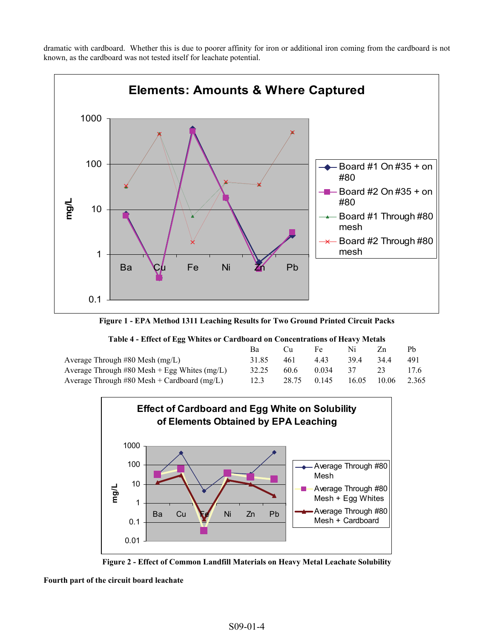dramatic with cardboard. Whether this is due to poorer affinity for iron or additional iron coming from the cardboard is not known, as the cardboard was not tested itself for leachate potential.



**Figure 1 - EPA Method 1311 Leaching Results for Two Ground Printed Circuit Packs** 

|  |  |  |  | Table 4 - Effect of Egg Whites or Cardboard on Concentrations of Heavy Metals |  |
|--|--|--|--|-------------------------------------------------------------------------------|--|
|--|--|--|--|-------------------------------------------------------------------------------|--|

|                                                | Ва    | Cп    | Fe    | $N_{1}$ | Zn    | P <sub>b</sub> |
|------------------------------------------------|-------|-------|-------|---------|-------|----------------|
| Average Through $\#80$ Mesh (mg/L)             | 31.85 | 461   | 443   | 39.4    | 34.4  | 491            |
| Average Through #80 Mesh + Egg Whites $(mg/L)$ | 32.25 | 60.6  | 0.034 | 37      | 23    |                |
| Average Through #80 Mesh + Cardboard $(mg/L)$  | 12.3  | 28.75 | 0.145 | 16.05   | 10.06 | 2.365          |





**Fourth part of the circuit board leachate**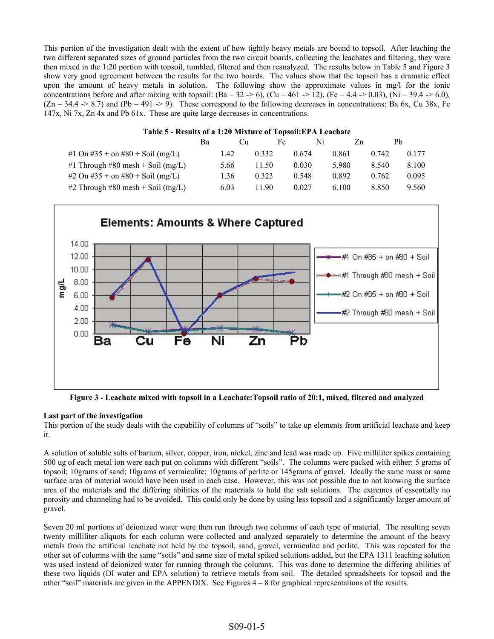This portion of the investigation dealt with the extent of how tightly heavy metals are bound to topsoil. After leaching the two different separated sizes of ground particles from the two circuit boards, collecting the leachates and filtering, they were then mixed in the 1:20 portion with topsoil, tumbled, filtered and then reanalyzed. The results below in Table 5 and Figure 3 show very good agreement between the results for the two boards. The values show that the topsoil has a dramatic effect upon the amount of heavy metals in solution. The following show the approximate values in mg/l for the ionic concentrations before and after mixing with topsoil:  $(Ba - 32 \rightarrow 6)$ ,  $(Cu - 461 \rightarrow 12)$ ,  $(Fe - 4.4 \rightarrow 0.03)$ ,  $(Ni - 39.4 \rightarrow 6.0)$ ,  $(Zn - 34.4 \rightarrow 8.7)$  and  $(Pb - 491 \rightarrow 9)$ . These correspond to the following decreases in concentrations: Ba 6x, Cu 38x, Fe 147x, Ni 7x, Zn 4x and Pb 61x. These are quite large decreases in concentrations.

#### **Table 5 - Results of a 1:20 Mixture of Topsoil:EPA Leachate**

|                                   | Ba | Сu   |       | Fe.   | N1 | Zn    | Ph    |       |
|-----------------------------------|----|------|-------|-------|----|-------|-------|-------|
| #1 On #35 + on #80 + Soil (mg/L)  |    | 1.42 | 0.332 | 0.674 |    | 0.861 | 0.742 | 0.177 |
| #1 Through #80 mesh + Soil (mg/L) |    | 5.66 | 1.50  | 0.030 |    | 5.980 | 8.540 | 8.100 |
| #2 On #35 + on #80 + Soil (mg/L)  |    | 1.36 | 0.323 | 0.548 |    | 0.892 | 0.762 | 0.095 |
| #2 Through #80 mesh + Soil (mg/L) |    | 6.03 | 190   | 0.027 |    | 6.100 | 8.850 | 9.560 |



**Figure 3 - Leachate mixed with topsoil in a Leachate:Topsoil ratio of 20:1, mixed, filtered and analyzed**

#### **Last part of the investigation**

This portion of the study deals with the capability of columns of "soils" to take up elements from artificial leachate and keep it.

A solution of soluble salts of barium, silver, copper, iron, nickel, zinc and lead was made up. Five milliliter spikes containing 500 ug of each metal ion were each put on columns with different "soils". The columns were packed with either: 5 grams of topsoil; 10grams of sand; 10grams of vermiculite; 10grams of perlite or 145grams of gravel. Ideally the same mass or same surface area of material would have been used in each case. However, this was not possible due to not knowing the surface area of the materials and the differing abilities of the materials to hold the salt solutions. The extremes of essentially no porosity and channeling had to be avoided. This could only be done by using less topsoil and a significantly larger amount of gravel.

Seven 20 ml portions of deionized water were then run through two columns of each type of material. The resulting seven twenty milliliter aliquots for each column were collected and analyzed separately to determine the amount of the heavy metals from the artificial leachate not held by the topsoil, sand, gravel, vermiculite and perlite. This was repeated for the other set of columns with the same "soils" and same size of metal spiked solutions added, but the EPA 1311 leaching solution was used instead of deionized water for running through the columns. This was done to determine the differing abilities of these two liquids (DI water and EPA solution) to retrieve metals from soil. The detailed spreadsheets for topsoil and the other "soil" materials are given in the APPENDIX. See Figures  $4 - 8$  for graphical representations of the results.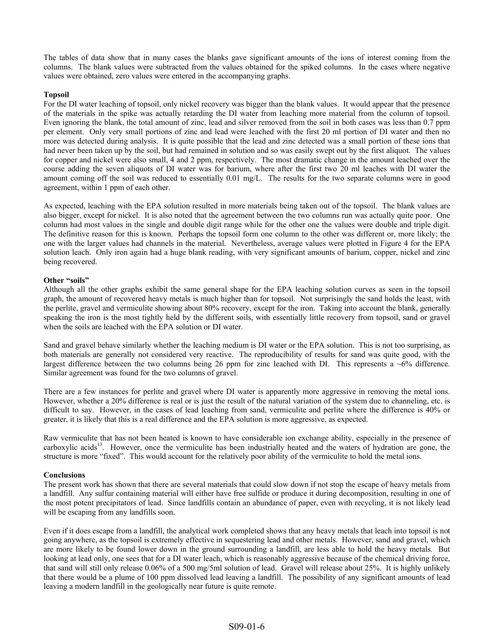The tables of data show that in many cases the blanks gave significant amounts of the ions of interest coming from the columns. The blank values were subtracted from the values obtained for the spiked columns. In the cases where negative values were obtained, zero values were entered in the accompanying graphs.

### **Topsoil**

For the DI water leaching of topsoil, only nickel recovery was bigger than the blank values. It would appear that the presence of the materials in the spike was actually retarding the DI water from leaching more material from the column of topsoil. Even ignoring the blank, the total amount of zinc, lead and silver removed from the soil in both cases was less than 0.7 ppm per element. Only very small portions of zinc and lead were leached with the first 20 ml portion of DI water and then no more was detected during analysis. It is quite possible that the lead and zinc detected was a small portion of these ions that had never been taken up by the soil, but had remained in solution and so was easily swept out by the first aliquot. The values for copper and nickel were also small, 4 and 2 ppm, respectively. The most dramatic change in the amount leached over the course adding the seven aliquots of DI water was for barium, where after the first two 20 ml leaches with DI water the amount coming off the soil was reduced to essentially 0.01 mg/L. The results for the two separate columns were in good agreement, within 1 ppm of each other.

As expected, leaching with the EPA solution resulted in more materials being taken out of the topsoil. The blank values are also bigger, except for nickel. It is also noted that the agreement between the two columns run was actually quite poor. One column had most values in the single and double digit range while for the other one the values were double and triple digit. The definitive reason for this is known. Perhaps the topsoil form one column to the other was different or, more likely; the one with the larger values had channels in the material. Nevertheless, average values were plotted in Figure 4 for the EPA solution leach. Only iron again had a huge blank reading, with very significant amounts of barium, copper, nickel and zinc being recovered.

#### **Other "soils"**

Although all the other graphs exhibit the same general shape for the EPA leaching solution curves as seen in the topsoil graph, the amount of recovered heavy metals is much higher than for topsoil. Not surprisingly the sand holds the least, with the perlite, gravel and vermiculite showing about 80% recovery, except for the iron. Taking into account the blank, generally speaking the iron is the most tightly held by the different soils, with essentially little recovery from topsoil, sand or gravel when the soils are leached with the EPA solution or DI water.

Sand and gravel behave similarly whether the leaching medium is DI water or the EPA solution. This is not too surprising, as both materials are generally not considered very reactive. The reproducibility of results for sand was quite good, with the largest difference between the two columns being 26 ppm for zinc leached with DI. This represents a  $\sim 6\%$  difference. Similar agreement was found for the two columns of gravel.

There are a few instances for perlite and gravel where DI water is apparently more aggressive in removing the metal ions. However, whether a 20% difference is real or is just the result of the natural variation of the system due to channeling, etc. is difficult to say. However, in the cases of lead leaching from sand, vermiculite and perlite where the difference is 40% or greater, it is likely that this is a real difference and the EPA solution is more aggressive, as expected.

Raw vermiculite that has not been heated is known to have considerable ion exchange ability, especially in the presence of carboxylic acids<sup>13</sup>. However, once the vermiculite has been industrially heated and the waters of hydration are gone, the structure is more "fixed". This would account for the relatively poor ability of the vermiculite to hold the metal ions.

#### **Conclusions**

The present work has shown that there are several materials that could slow down if not stop the escape of heavy metals from a landfill. Any sulfur containing material will either have free sulfide or produce it during decomposition, resulting in one of the most potent precipitators of lead. Since landfills contain an abundance of paper, even with recycling, it is not likely lead will be escaping from any landfills soon.

Even if it does escape from a landfill, the analytical work completed shows that any heavy metals that leach into topsoil is not going anywhere, as the topsoil is extremely effective in sequestering lead and other metals. However, sand and gravel, which are more likely to be found lower down in the ground surrounding a landfill, are less able to hold the heavy metals. But looking at lead only, one sees that for a DI water leach, which is reasonably aggressive because of the chemical driving force, that sand will still only release 0.06% of a 500 mg/5ml solution of lead. Gravel will release about 25%. It is highly unlikely that there would be a plume of 100 ppm dissolved lead leaving a landfill. The possibility of any significant amounts of lead leaving a modern landfill in the geologically near future is quite remote.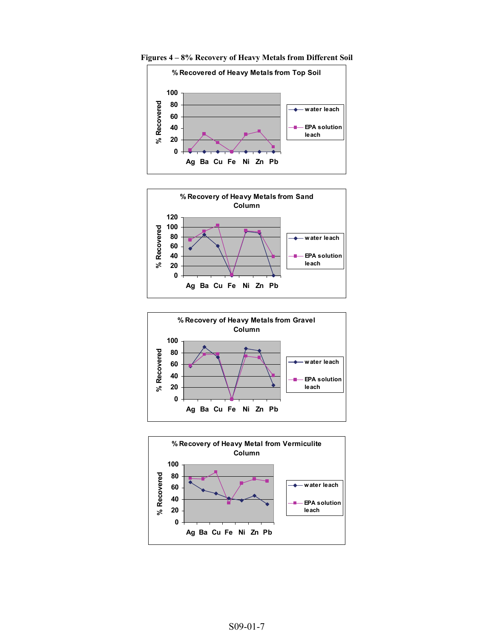

**Figures 4 – 8% Recovery of Heavy Metals from Different Soil**





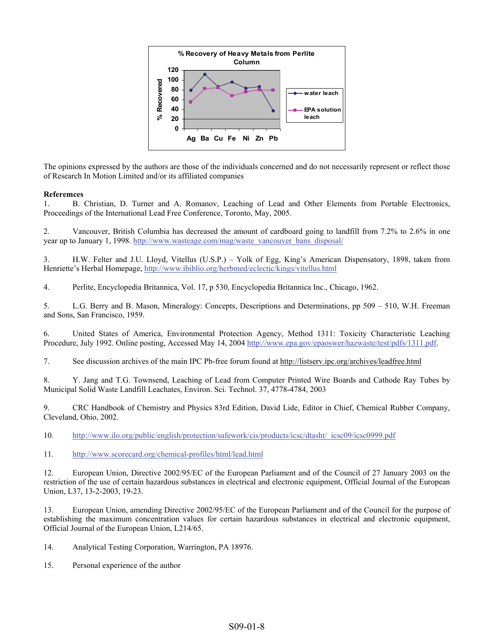

The opinions expressed by the authors are those of the individuals concerned and do not necessarily represent or reflect those of Research In Motion Limited and/or its affiliated companies

#### **Referemces**

1. B. Christian, D. Turner and A. Romanov, Leaching of Lead and Other Elements from Portable Electronics, Proceedings of the International Lead Free Conference, Toronto, May, 2005.

2. Vancouver, British Columbia has decreased the amount of cardboard going to landfill from 7.2% to 2.6% in one year up to January 1, 1998. http://www.wasteage.com/mag/waste\_vancouver\_bans\_disposal/

3. H.W. Felter and J.U. Lloyd, Vitellus (U.S.P.) – Yolk of Egg, King's American Dispensatory, 1898, taken from Henriette's Herbal Homepage, http://www.ibiblio.org/herbmed/eclectic/kings/vitellus.html

4. Perlite, Encyclopedia Britannica, Vol. 17, p 530, Encyclopedia Britannica Inc., Chicago, 1962.

5. L.G. Berry and B. Mason, Mineralogy: Concepts, Descriptions and Determinations, pp 509 – 510, W.H. Freeman and Sons, San Francisco, 1959.

6. United States of America, Environmental Protection Agency, Method 1311: Toxicity Characteristic Leaching Procedure, July 1992. Online posting, Accessed May 14, 2004 http://www.epa.gov/epaoswer/hazwaste/test/pdfs/1311.pdf.

7. See discussion archives of the main IPC Pb-free forum found at http://listserv.ipc.org/archives/leadfree.html

8. Y. Jang and T.G. Townsend, Leaching of Lead from Computer Printed Wire Boards and Cathode Ray Tubes by Municipal Solid Waste Landfill Leachates, Environ. Sci. Technol. 37, 4778-4784, 2003

9. CRC Handbook of Chemistry and Physics 83rd Edition, David Lide, Editor in Chief, Chemical Rubber Company, Cleveland, Ohio, 2002.

10. http://www.ilo.org/public/english/protection/safework/cis/products/icsc/dtasht/\_icsc09/icsc0999.pdf

11. http://www.scorecard.org/chemical-profiles/html/lead.html

12. European Union, Directive 2002/95/EC of the European Parliament and of the Council of 27 January 2003 on the restriction of the use of certain hazardous substances in electrical and electronic equipment, Official Journal of the European Union, L37, 13-2-2003, 19-23.

13. European Union, amending Directive 2002/95/EC of the European Parliament and of the Council for the purpose of establishing the maximum concentration values for certain hazardous substances in electrical and electronic equipment, Official Journal of the European Union, L214/65.

14. Analytical Testing Corporation, Warrington, PA 18976.

15. Personal experience of the author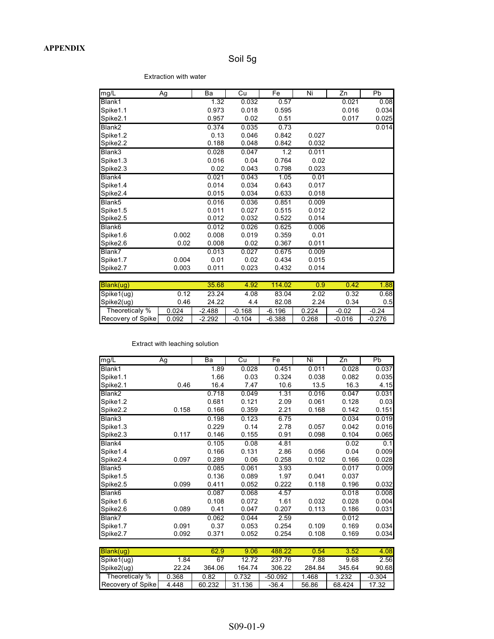# Soil 5g

Extraction with water

| mg/L               | Ag    | Ba    | Cu    | Fe    | Ni    | $\overline{Zn}$ | Pb    |
|--------------------|-------|-------|-------|-------|-------|-----------------|-------|
| Blank1             |       | 1.32  | 0.032 | 0.57  |       | 0.021           | 0.08  |
| Spike1.1           |       | 0.973 | 0.018 | 0.595 |       | 0.016           | 0.034 |
| Spike2.1           |       | 0.957 | 0.02  | 0.51  |       | 0.017           | 0.025 |
| Blank <sub>2</sub> |       | 0.374 | 0.035 | 0.73  |       |                 | 0.014 |
| Spike1.2           |       | 0.13  | 0.046 | 0.842 | 0.027 |                 |       |
| Spike2.2           |       | 0.188 | 0.048 | 0.842 | 0.032 |                 |       |
| Blank3             |       | 0.028 | 0.047 | 1.2   | 0.011 |                 |       |
| Spike1.3           |       | 0.016 | 0.04  | 0.764 | 0.02  |                 |       |
| Spike2.3           |       | 0.02  | 0.043 | 0.798 | 0.023 |                 |       |
| Blank4             |       | 0.021 | 0.043 | 1.05  | 0.01  |                 |       |
| Spike1.4           |       | 0.014 | 0.034 | 0.643 | 0.017 |                 |       |
| Spike2.4           |       | 0.015 | 0.034 | 0.633 | 0.018 |                 |       |
| Blank5             |       | 0.016 | 0.036 | 0.851 | 0.009 |                 |       |
| Spike1.5           |       | 0.011 | 0.027 | 0.515 | 0.012 |                 |       |
| Spike2.5           |       | 0.012 | 0.032 | 0.522 | 0.014 |                 |       |
| Blank6             |       | 0.012 | 0.026 | 0.625 | 0.006 |                 |       |
| Spike1.6           | 0.002 | 0.008 | 0.019 | 0.359 | 0.01  |                 |       |
| Spike2.6           | 0.02  | 0.008 | 0.02  | 0.367 | 0.011 |                 |       |
| Blank7             |       | 0.013 | 0.027 | 0.675 | 0.009 |                 |       |
| Spike1.7           | 0.004 | 0.01  | 0.02  | 0.434 | 0.015 |                 |       |
| Spike2.7           | 0.003 | 0.011 | 0.023 | 0.432 | 0.014 |                 |       |

| Blank(ug)         |       | 35.68    | 4.92     | 114.02   | 0.9   | 0.42     | 1.88     |
|-------------------|-------|----------|----------|----------|-------|----------|----------|
| Spike1(ug)        | 0.12  | 23.24    | 4.08     | 83.04    | 2.02  | 0.32     | 0.68     |
| Spike2(ug)        | 0.46  | 24.22    | 4.4      | 82.08    | 2.24  | 0.34     | 0.5      |
| Theoreticaly %    | 0.024 | $-2.488$ | $-0.168$ | $-6.196$ | 0.224 | $-0.02$  | $-0.24$  |
| Recovery of Spike | 0.092 | $-2.292$ | $-0.104$ | $-6.388$ | 0.268 | $-0.016$ | $-0.276$ |

| $mg/\overline{L}$  | Ag    | Ba    | Cu    | Fe    | Ni    | $\overline{Zn}$ | Pb    |
|--------------------|-------|-------|-------|-------|-------|-----------------|-------|
| Blank1             |       | 1.89  | 0.028 | 0.451 | 0.011 | 0.028           | 0.037 |
| Spike1.1           |       | 1.66  | 0.03  | 0.324 | 0.038 | 0.082           | 0.035 |
| Spike2.1           | 0.46  | 16.4  | 7.47  | 10.6  | 13.5  | 16.3            | 4.15  |
| Blank2             |       | 0.718 | 0.049 | 1.31  | 0.016 | 0.047           | 0.031 |
| Spike1.2           |       | 0.681 | 0.121 | 2.09  | 0.061 | 0.128           | 0.03  |
| Spike2.2           | 0.158 | 0.166 | 0.359 | 2.21  | 0.168 | 0.142           | 0.151 |
| Blank3             |       | 0.198 | 0.123 | 6.75  |       | 0.034           | 0.019 |
| Spike1.3           |       | 0.229 | 0.14  | 2.78  | 0.057 | 0.042           | 0.016 |
| Spike2.3           | 0.117 | 0.146 | 0.155 | 0.91  | 0.098 | 0.104           | 0.065 |
| Blank4             |       | 0.105 | 0.08  | 4.81  |       | 0.02            | 0.1   |
| Spike1.4           |       | 0.166 | 0.131 | 2.86  | 0.056 | 0.04            | 0.009 |
| Spike2.4           | 0.097 | 0.289 | 0.06  | 0.258 | 0.102 | 0.166           | 0.028 |
| Blank5             |       | 0.085 | 0.061 | 3.93  |       | 0.017           | 0.009 |
| Spike1.5           |       | 0.136 | 0.089 | 1.97  | 0.041 | 0.037           |       |
| Spike2.5           | 0.099 | 0.411 | 0.052 | 0.222 | 0.118 | 0.196           | 0.032 |
| Blank <sub>6</sub> |       | 0.087 | 0.068 | 4.57  |       | 0.018           | 0.008 |
| Spike1.6           |       | 0.108 | 0.072 | 1.61  | 0.032 | 0.028           | 0.004 |
| Spike2.6           | 0.089 | 0.41  | 0.047 | 0.207 | 0.113 | 0.186           | 0.031 |
| Blank7             |       | 0.062 | 0.044 | 2.59  |       | 0.012           |       |
| Spike1.7           | 0.091 | 0.37  | 0.053 | 0.254 | 0.109 | 0.169           | 0.034 |
| Spike2.7           | 0.092 | 0.371 | 0.052 | 0.254 | 0.108 | 0.169           | 0.034 |

| Blank(ug)         |       | 62.9   | 9.06   | 488.22    | 0.54   | 3.52   | 4.08     |
|-------------------|-------|--------|--------|-----------|--------|--------|----------|
| Spike1(ug)        | 1.84  | 67     | 12.72  | 237.76    | 7.88   | 9.68   | 2.56     |
| Spike2(ug)        | 22.24 | 364.06 | 164.74 | 306.22    | 284.84 | 345.64 | 90.68    |
| Theoreticaly %    | 0.368 | 0.82   | 0.732  | $-50.092$ | 1.468  | 1.232  | $-0.304$ |
| Recovery of Spike | 4.448 | 60.232 | 31.136 | $-36.4$   | 56.86  | 68.424 | 17.32    |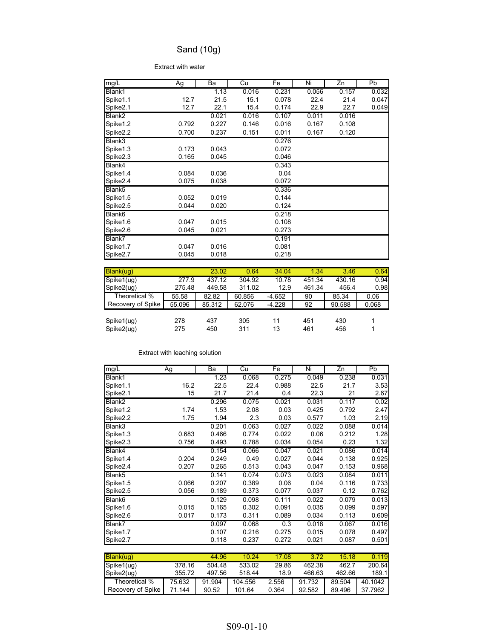# Sand (10g)

Extract with water

| mg/L               | Ag    | Ba    | Cu    | Fe    | Ni    | Zn    | Pb    |
|--------------------|-------|-------|-------|-------|-------|-------|-------|
| Blank1             |       | 1.13  | 0.016 | 0.231 | 0.056 | 0.157 | 0.032 |
| Spike1.1           | 12.7  | 21.5  | 15.1  | 0.078 | 22.4  | 21.4  | 0.047 |
| Spike2.1           | 12.7  | 22.1  | 15.4  | 0.174 | 22.9  | 22.7  | 0.049 |
| Blank <sub>2</sub> |       | 0.021 | 0.016 | 0.107 | 0.011 | 0.016 |       |
| Spike1.2           | 0.792 | 0.227 | 0.146 | 0.016 | 0.167 | 0.108 |       |
| Spike2.2           | 0.700 | 0.237 | 0.151 | 0.011 | 0.167 | 0.120 |       |
| Blank3             |       |       |       | 0.276 |       |       |       |
| Spike1.3           | 0.173 | 0.043 |       | 0.072 |       |       |       |
| Spike2.3           | 0.165 | 0.045 |       | 0.046 |       |       |       |
| Blank4             |       |       |       | 0.343 |       |       |       |
| Spike1.4           | 0.084 | 0.036 |       | 0.04  |       |       |       |
| Spike2.4           | 0.075 | 0.038 |       | 0.072 |       |       |       |
| Blank <sub>5</sub> |       |       |       | 0.336 |       |       |       |
| Spike1.5           | 0.052 | 0.019 |       | 0.144 |       |       |       |
| Spike2.5           | 0.044 | 0.020 |       | 0.124 |       |       |       |
| Blank <sub>6</sub> |       |       |       | 0.218 |       |       |       |
| Spike1.6           | 0.047 | 0.015 |       | 0.108 |       |       |       |
| Spike2.6           | 0.045 | 0.021 |       | 0.273 |       |       |       |
| Blank7             |       |       |       | 0.191 |       |       |       |
| Spike1.7           | 0.047 | 0.016 |       | 0.081 |       |       |       |
| Spike2.7           | 0.045 | 0.018 |       | 0.218 |       |       |       |

| 0.64  |
|-------|
| 0.94  |
| 0.98  |
| 0.06  |
| 0.068 |
|       |
|       |
|       |
|       |

#### Extract with leaching solution

Theoretical % Recovery of Spike

| mg/L       | Ag     | Ba     | Cu     | Fe    | Ni     | Zn     | Pb     |
|------------|--------|--------|--------|-------|--------|--------|--------|
| Blank1     |        | 1.23   | 0.068  | 0.275 | 0.049  | 0.238  | 0.031  |
| Spike1.1   | 16.2   | 22.5   | 22.4   | 0.988 | 22.5   | 21.7   | 3.53   |
| Spike2.1   | 15     | 21.7   | 21.4   | 0.4   | 22.3   | 21     | 2.67   |
| Blank2     |        | 0.296  | 0.075  | 0.021 | 0.031  | 0.117  | 0.02   |
| Spike1.2   | 1.74   | 1.53   | 2.08   | 0.03  | 0.425  | 0.792  | 2.47   |
| Spike2.2   | 1.75   | 1.94   | 2.3    | 0.03  | 0.577  | 1.03   | 2.19   |
| Blank3     |        | 0.201  | 0.063  | 0.027 | 0.022  | 0.088  | 0.014  |
| Spike1.3   | 0.683  | 0.466  | 0.774  | 0.022 | 0.06   | 0.212  | 1.28   |
| Spike2.3   | 0.756  | 0.493  | 0.788  | 0.034 | 0.054  | 0.23   | 1.32   |
| Blank4     |        | 0.154  | 0.066  | 0.047 | 0.021  | 0.086  | 0.014  |
| Spike1.4   | 0.204  | 0.249  | 0.49   | 0.027 | 0.044  | 0.138  | 0.925  |
| Spike2.4   | 0.207  | 0.265  | 0.513  | 0.043 | 0.047  | 0.153  | 0.968  |
| Blank5     |        | 0.141  | 0.074  | 0.073 | 0.023  | 0.084  | 0.011  |
| Spike1.5   | 0.066  | 0.207  | 0.389  | 0.06  | 0.04   | 0.116  | 0.733  |
| Spike2.5   | 0.056  | 0.189  | 0.373  | 0.077 | 0.037  | 0.12   | 0.762  |
| Blank6     |        | 0.129  | 0.098  | 0.111 | 0.022  | 0.079  | 0.013  |
| Spike1.6   | 0.015  | 0.165  | 0.302  | 0.091 | 0.035  | 0.099  | 0.597  |
| Spike2.6   | 0.017  | 0.173  | 0.311  | 0.089 | 0.034  | 0.113  | 0.609  |
| Blank7     |        | 0.097  | 0.068  | 0.3   | 0.018  | 0.067  | 0.016  |
| Spike1.7   |        | 0.107  | 0.216  | 0.275 | 0.015  | 0.078  | 0.497  |
| Spike2.7   |        | 0.118  | 0.237  | 0.272 | 0.021  | 0.087  | 0.501  |
|            |        |        |        |       |        |        |        |
| Blank(ug)  |        | 44.96  | 10.24  | 17.08 | 3.72   | 15.18  | 0.119  |
| Spike1(ug) | 378.16 | 504.48 | 533.02 | 29.86 | 462.38 | 462.7  | 200.64 |
| Spike2(ug) | 355.72 | 497.56 | 518.44 | 18.9  | 466.63 | 462.66 | 189.1  |

101.64

75.632 91.904 104.556 2.556 91.732 89.504 40.1042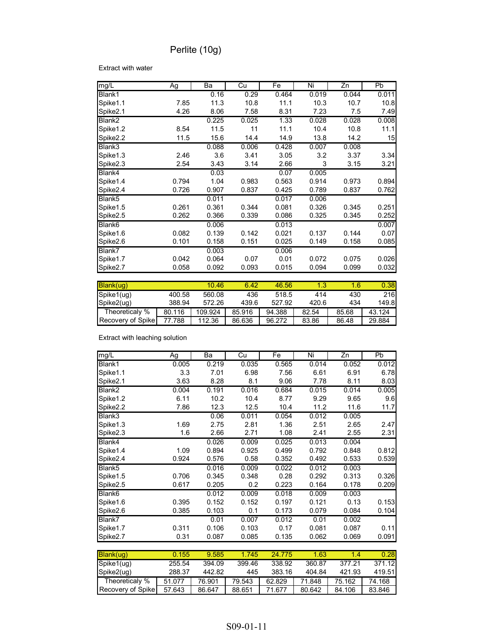# Perlite (10g)

Extract with water

| mg/L               | Ag    | Ba    | Cu    | Fe    | Ni    | Zn    | Pb    |
|--------------------|-------|-------|-------|-------|-------|-------|-------|
| Blank1             |       | 0.16  | 0.29  | 0.464 | 0.019 | 0.044 | 0.011 |
| Spike1.1           | 7.85  | 11.3  | 10.8  | 11.1  | 10.3  | 10.7  | 10.8  |
| Spike2.1           | 4.26  | 8.06  | 7.58  | 8.31  | 7.23  | 7.5   | 7.49  |
| Blank <sub>2</sub> |       | 0.225 | 0.025 | 1.33  | 0.028 | 0.028 | 0.008 |
| Spike1.2           | 8.54  | 11.5  | 11    | 11.1  | 10.4  | 10.8  | 11.1  |
| Spike2.2           | 11.5  | 15.6  | 14.4  | 14.9  | 13.8  | 14.2  | 15    |
| Blank3             |       | 0.088 | 0.006 | 0.428 | 0.007 | 0.008 |       |
| Spike1.3           | 2.46  | 3.6   | 3.41  | 3.05  | 3.2   | 3.37  | 3.34  |
| Spike2.3           | 2.54  | 3.43  | 3.14  | 2.66  | 3     | 3.15  | 3.21  |
| Blank4             |       | 0.03  |       | 0.07  | 0.005 |       |       |
| Spike1.4           | 0.794 | 1.04  | 0.983 | 0.563 | 0.914 | 0.973 | 0.894 |
| Spike2.4           | 0.726 | 0.907 | 0.837 | 0.425 | 0.789 | 0.837 | 0.762 |
| Blank <sub>5</sub> |       | 0.011 |       | 0.017 | 0.006 |       |       |
| Spike1.5           | 0.261 | 0.361 | 0.344 | 0.081 | 0.326 | 0.345 | 0.251 |
| Spike2.5           | 0.262 | 0.366 | 0.339 | 0.086 | 0.325 | 0.345 | 0.252 |
| Blank6             |       | 0.006 |       | 0.013 |       |       | 0.007 |
| Spike1.6           | 0.082 | 0.139 | 0.142 | 0.021 | 0.137 | 0.144 | 0.07  |
| Spike2.6           | 0.101 | 0.158 | 0.151 | 0.025 | 0.149 | 0.158 | 0.085 |
| Blank7             |       | 0.003 |       | 0.006 |       |       |       |
| Spike1.7           | 0.042 | 0.064 | 0.07  | 0.01  | 0.072 | 0.075 | 0.026 |
| Spike2.7           | 0.058 | 0.092 | 0.093 | 0.015 | 0.094 | 0.099 | 0.032 |

| Blank(ug)         |        | 10.46   | 6.42   | 46.56  | 1.3   | 1.6   | 0.38   |
|-------------------|--------|---------|--------|--------|-------|-------|--------|
| Spike1(ug)        | 400.58 | 560.08  | 436    | 518.5  | 414   | 430   | 216    |
| Spike2(uq)        | 388.94 | 572.26  | 439.6  | 527.92 | 420.6 | 434   | 149.8  |
| Theoreticaly %    | 80.116 | 109.924 | 85.916 | 94.388 | 82.54 | 85.68 | 43.124 |
| Recovery of Spike | 77.788 | 112.36  | 86.636 | 96.272 | 83.86 | 86.48 | 29.884 |

| mg/L               | Ag    | Ba    | Cu    | Fe    | Ni    | $\overline{Zn}$ | <b>Pb</b> |
|--------------------|-------|-------|-------|-------|-------|-----------------|-----------|
| Blank1             | 0.005 | 0.219 | 0.035 | 0.565 | 0.014 | 0.052           | 0.012     |
| Spike1.1           | 3.3   | 7.01  | 6.98  | 7.56  | 6.61  | 6.91            | 6.78      |
| Spike2.1           | 3.63  | 8.28  | 8.1   | 9.06  | 7.78  | 8.11            | 8.03      |
| Blank2             | 0.004 | 0.191 | 0.016 | 0.684 | 0.015 | 0.014           | 0.005     |
| Spike1.2           | 6.11  | 10.2  | 10.4  | 8.77  | 9.29  | 9.65            | 9.6       |
| Spike2.2           | 7.86  | 12.3  | 12.5  | 10.4  | 11.2  | 11.6            | 11.7      |
| Blank3             |       | 0.06  | 0.011 | 0.054 | 0.012 | 0.005           |           |
| Spike1.3           | 1.69  | 2.75  | 2.81  | 1.36  | 2.51  | 2.65            | 2.47      |
| Spike2.3           | 1.6   | 2.66  | 2.71  | 1.08  | 2.41  | 2.55            | 2.31      |
| Blank4             |       | 0.026 | 0.009 | 0.025 | 0.013 | 0.004           |           |
| Spike1.4           | 1.09  | 0.894 | 0.925 | 0.499 | 0.792 | 0.848           | 0.812     |
| Spike2.4           | 0.924 | 0.576 | 0.58  | 0.352 | 0.492 | 0.533           | 0.539     |
| Blank <sub>5</sub> |       | 0.016 | 0.009 | 0.022 | 0.012 | 0.003           |           |
| Spike1.5           | 0.706 | 0.345 | 0.348 | 0.28  | 0.292 | 0.313           | 0.326     |
| Spike2.5           | 0.617 | 0.205 | 0.2   | 0.223 | 0.164 | 0.178           | 0.209     |
| Blank6             |       | 0.012 | 0.009 | 0.018 | 0.009 | 0.003           |           |
| Spike1.6           | 0.395 | 0.152 | 0.152 | 0.197 | 0.121 | 0.13            | 0.153     |
| Spike2.6           | 0.385 | 0.103 | 0.1   | 0.173 | 0.079 | 0.084           | 0.104     |
| Blank7             |       | 0.01  | 0.007 | 0.012 | 0.01  | 0.002           |           |
| Spike1.7           | 0.311 | 0.106 | 0.103 | 0.17  | 0.081 | 0.087           | 0.11      |
| Spike2.7           | 0.31  | 0.087 | 0.085 | 0.135 | 0.062 | 0.069           | 0.091     |

| Blank(ug)         | 0.155  | 9.585  | 1.745  | 24.775 | 1.63   | 1.4    | 0.28   |
|-------------------|--------|--------|--------|--------|--------|--------|--------|
| Spike1(ug)        | 255.54 | 394.09 | 399.46 | 338.92 | 360.87 | 377.21 | 371.12 |
| Spike2(ug)        | 288.37 | 442.82 | 445    | 383.16 | 404.84 | 421.93 | 419.51 |
| Theoreticaly %    | 51.077 | 76.901 | 79.543 | 62.829 | 71.848 | 75.162 | 74.168 |
| Recovery of Spike | 57.643 | 86.647 | 88.651 | 71.677 | 80.642 | 84.106 | 83.846 |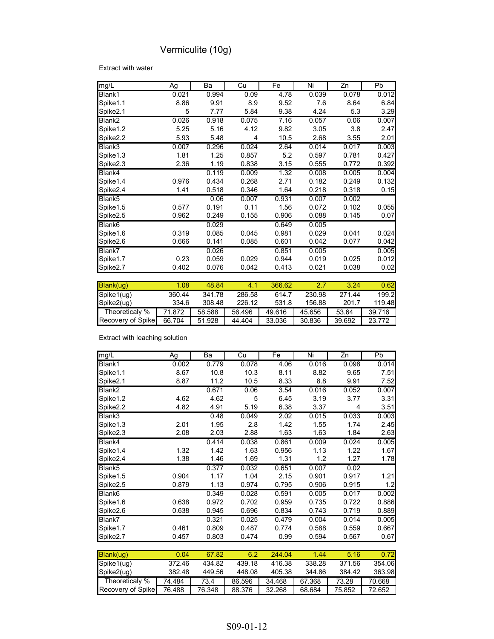# Vermiculite (10g)

Extract with water

| mg/L               | Ag    | Ba    | Cu    | Fe    | Ni    | Zn    | Pb    |
|--------------------|-------|-------|-------|-------|-------|-------|-------|
| Blank1             | 0.021 | 0.994 | 0.09  | 4.78  | 0.039 | 0.078 | 0.012 |
| Spike1.1           | 8.86  | 9.91  | 8.9   | 9.52  | 7.6   | 8.64  | 6.84  |
| Spike2.1           | 5     | 7.77  | 5.84  | 9.38  | 4.24  | 5.3   | 3.29  |
| Blank <sub>2</sub> | 0.026 | 0.918 | 0.075 | 7.16  | 0.057 | 0.06  | 0.007 |
| Spike1.2           | 5.25  | 5.16  | 4.12  | 9.82  | 3.05  | 3.8   | 2.47  |
| Spike2.2           | 5.93  | 5.48  | 4     | 10.5  | 2.68  | 3.55  | 2.01  |
| Blank3             | 0.007 | 0.296 | 0.024 | 2.64  | 0.014 | 0.017 | 0.003 |
| Spike1.3           | 1.81  | 1.25  | 0.857 | 5.2   | 0.597 | 0.781 | 0.427 |
| Spike2.3           | 2.36  | 1.19  | 0.838 | 3.15  | 0.555 | 0.772 | 0.392 |
| Blank4             |       | 0.119 | 0.009 | 1.32  | 0.008 | 0.005 | 0.004 |
| Spike1.4           | 0.976 | 0.434 | 0.268 | 2.71  | 0.182 | 0.249 | 0.132 |
| Spike2.4           | 1.41  | 0.518 | 0.346 | 1.64  | 0.218 | 0.318 | 0.15  |
| Blank <sub>5</sub> |       | 0.06  | 0.007 | 0.931 | 0.007 | 0.002 |       |
| Spike1.5           | 0.577 | 0.191 | 0.11  | 1.56  | 0.072 | 0.102 | 0.055 |
| Spike2.5           | 0.962 | 0.249 | 0.155 | 0.906 | 0.088 | 0.145 | 0.07  |
| Blank6             |       | 0.029 |       | 0.649 | 0.005 |       |       |
| Spike1.6           | 0.319 | 0.085 | 0.045 | 0.981 | 0.029 | 0.041 | 0.024 |
| Spike2.6           | 0.666 | 0.141 | 0.085 | 0.601 | 0.042 | 0.077 | 0.042 |
| Blank7             |       | 0.026 |       | 0.851 | 0.005 |       | 0.005 |
| Spike1.7           | 0.23  | 0.059 | 0.029 | 0.944 | 0.019 | 0.025 | 0.012 |
| Spike2.7           | 0.402 | 0.076 | 0.042 | 0.413 | 0.021 | 0.038 | 0.02  |

| Blank(ug)         | 1.08   | 48.84  | 4.1    | 366.62 | -2.7   | 3.24   | 0.62   |
|-------------------|--------|--------|--------|--------|--------|--------|--------|
| Spike1(ug)        | 360.44 | 341.78 | 286.58 | 614.7  | 230.98 | 271.44 | 199.2  |
| Spike2(ug)        | 334.6  | 308.48 | 226.12 | 531.8  | 156.88 | 201.7  | 119.48 |
| Theoreticaly %    | 71.872 | 58.588 | 56.496 | 49.616 | 45.656 | 53.64  | 39.716 |
| Recovery of Spike | 66.704 | 51.928 | 44.404 | 33.036 | 30.836 | 39.692 | 23.772 |

| mg/L               | Ag    | Ba    | Cu    | Fe    | Ni    | $\overline{Zn}$ | Pb    |
|--------------------|-------|-------|-------|-------|-------|-----------------|-------|
| Blank1             | 0.002 | 0.779 | 0.078 | 4.06  | 0.016 | 0.098           | 0.014 |
| Spike1.1           | 8.67  | 10.8  | 10.3  | 8.11  | 8.82  | 9.65            | 7.51  |
| Spike2.1           | 8.87  | 11.2  | 10.5  | 8.33  | 8.8   | 9.91            | 7.52  |
| Blank <sub>2</sub> |       | 0.671 | 0.06  | 3.54  | 0.016 | 0.052           | 0.007 |
| Spike1.2           | 4.62  | 4.62  | 5     | 6.45  | 3.19  | 3.77            | 3.31  |
| Spike2.2           | 4.82  | 4.91  | 5.19  | 6.38  | 3.37  | 4               | 3.51  |
| Blank3             |       | 0.48  | 0.049 | 2.02  | 0.015 | 0.033           | 0.003 |
| Spike1.3           | 2.01  | 1.95  | 2.8   | 1.42  | 1.55  | 1.74            | 2.45  |
| Spike2.3           | 2.08  | 2.03  | 2.88  | 1.63  | 1.63  | 1.84            | 2.63  |
| Blank4             |       | 0.414 | 0.038 | 0.861 | 0.009 | 0.024           | 0.005 |
| Spike1.4           | 1.32  | 1.42  | 1.63  | 0.956 | 1.13  | 1.22            | 1.67  |
| Spike2.4           | 1.38  | 1.46  | 1.69  | 1.31  | 1.2   | 1.27            | 1.78  |
| Blank <sub>5</sub> |       | 0.377 | 0.032 | 0.651 | 0.007 | 0.02            |       |
| Spike1.5           | 0.904 | 1.17  | 1.04  | 2.15  | 0.901 | 0.917           | 1.21  |
| Spike2.5           | 0.879 | 1.13  | 0.974 | 0.795 | 0.906 | 0.915           | 1.2   |
| Blank <sub>6</sub> |       | 0.349 | 0.028 | 0.591 | 0.005 | 0.017           | 0.002 |
| Spike1.6           | 0.638 | 0.972 | 0.702 | 0.959 | 0.735 | 0.722           | 0.886 |
| Spike2.6           | 0.638 | 0.945 | 0.696 | 0.834 | 0.743 | 0.719           | 0.889 |
| Blank7             |       | 0.321 | 0.025 | 0.479 | 0.004 | 0.014           | 0.005 |
| Spike1.7           | 0.461 | 0.809 | 0.487 | 0.774 | 0.588 | 0.559           | 0.667 |
| Spike2.7           | 0.457 | 0.803 | 0.474 | 0.99  | 0.594 | 0.567           | 0.67  |

| Blank(ug)         | 0.04   | 67.82  | 6.2    | 244.04 | 1.44   | 5.16   | 0.72   |
|-------------------|--------|--------|--------|--------|--------|--------|--------|
| Spike1(ug)        | 372.46 | 434.82 | 439.18 | 416.38 | 338.28 | 371.56 | 354.06 |
| Spike2(uq)        | 382.48 | 449.56 | 448.08 | 405.38 | 344.86 | 384.42 | 363.98 |
| Theoreticaly %    | 74.484 | 73.4   | 86.596 | 34.468 | 67.368 | 73.28  | 70.668 |
| Recovery of Spike | 76.488 | 76.348 | 88.376 | 32.268 | 68.684 | 75.852 | 72.652 |